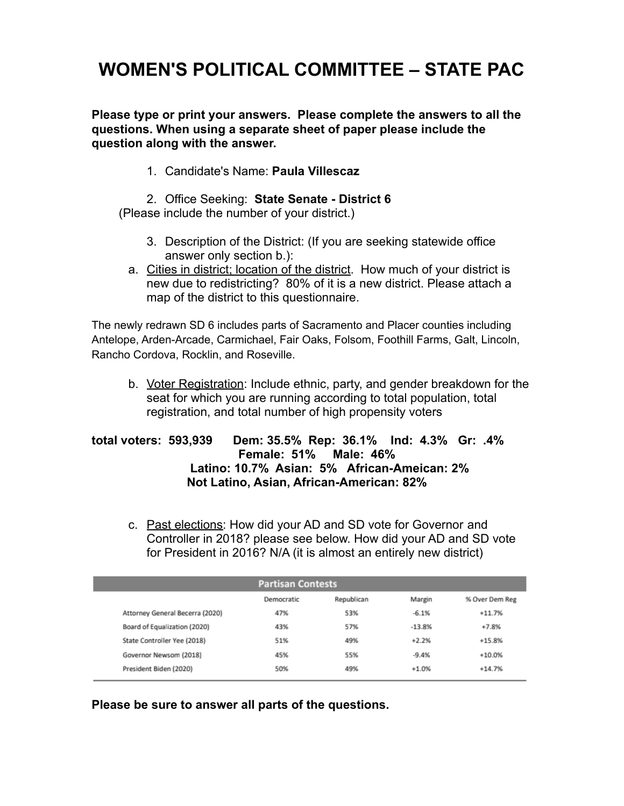# **WOMEN'S POLITICAL COMMITTEE – STATE PAC**

**Please type or print your answers. Please complete the answers to all the questions. When using a separate sheet of paper please include the question along with the answer.**

1. Candidate's Name: **Paula Villescaz**

2. Office Seeking: **State Senate - District 6**

(Please include the number of your district.)

- 3. Description of the District: (If you are seeking statewide office answer only section b.):
- a. Cities in district; location of the district. How much of your district is new due to redistricting? 80% of it is a new district. Please attach a map of the district to this questionnaire.

The newly redrawn SD 6 includes parts of Sacramento and Placer counties including Antelope, Arden-Arcade, Carmichael, Fair Oaks, Folsom, Foothill Farms, Galt, Lincoln, Rancho Cordova, Rocklin, and Roseville.

b. Voter Registration: Include ethnic, party, and gender breakdown for the seat for which you are running according to total population, total registration, and total number of high propensity voters

### **total voters: 593,939 Dem: 35.5% Rep: 36.1% Ind: 4.3% Gr: .4% Female: 51% Male: 46% Latino: 10.7% Asian: 5% African-Ameican: 2% Not Latino, Asian, African-American: 82%**

c. Past elections: How did your AD and SD vote for Governor and Controller in 2018? please see below. How did your AD and SD vote for President in 2016? N/A (it is almost an entirely new district)

| <b>Partisan Contests</b>        |            |            |          |                |  |
|---------------------------------|------------|------------|----------|----------------|--|
|                                 | Democratic | Republican | Margin   | % Over Dem Reg |  |
| Attorney General Becerra (2020) | 47%        | 53%        | $-6.1%$  | $+11.7%$       |  |
| Board of Equalization (2020)    | 43%        | 57%        | $-13.8%$ | $+7.8%$        |  |
| State Controller Yee (2018)     | 51%        | 49%        | $+2.2%$  | $+15.8%$       |  |
| Governor Newsom (2018)          | 45%        | 55%        | $-9.4%$  | $+10.0%$       |  |
| President Biden (2020)          | 50%        | 49%        | $+1.0%$  | $+14.7%$       |  |
|                                 |            |            |          |                |  |

**Please be sure to answer all parts of the questions.**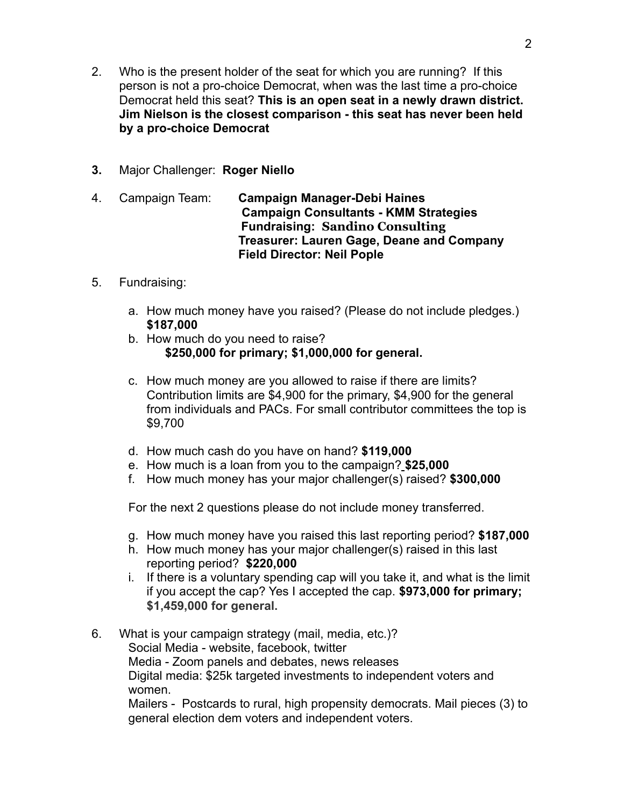- 2. Who is the present holder of the seat for which you are running? If this person is not a pro-choice Democrat, when was the last time a pro-choice Democrat held this seat? **This is an open seat in a newly drawn district. Jim Nielson is the closest comparison - this seat has never been held by a pro-choice Democrat**
- **3.** Major Challenger: **Roger Niello**
- 4. Campaign Team: **Campaign Manager-Debi Haines Campaign Consultants - KMM Strategies Fundraising: Sandino Consulting Treasurer: Lauren Gage, Deane and Company Field Director: Neil Pople**
- 5. Fundraising:
	- a. How much money have you raised? (Please do not include pledges.) **\$187,000**
	- b. How much do you need to raise? **\$250,000 for primary; \$1,000,000 for general.**
	- c. How much money are you allowed to raise if there are limits? Contribution limits are \$4,900 for the primary, \$4,900 for the general from individuals and PACs. For small contributor committees the top is \$9,700
	- d. How much cash do you have on hand? **\$119,000**
	- e. How much is a loan from you to the campaign? **\$25,000**
	- f. How much money has your major challenger(s) raised? **\$300,000**

For the next 2 questions please do not include money transferred.

- g. How much money have you raised this last reporting period? **\$187,000**
- h. How much money has your major challenger(s) raised in this last reporting period? **\$220,000**
- i. If there is a voluntary spending cap will you take it, and what is the limit if you accept the cap? Yes I accepted the cap. **\$973,000 for primary; \$1,459,000 for general.**
- 6. What is your campaign strategy (mail, media, etc.)? Social Media - website, facebook, twitter Media - Zoom panels and debates, news releases Digital media: \$25k targeted investments to independent voters and women.

Mailers - Postcards to rural, high propensity democrats. Mail pieces (3) to general election dem voters and independent voters.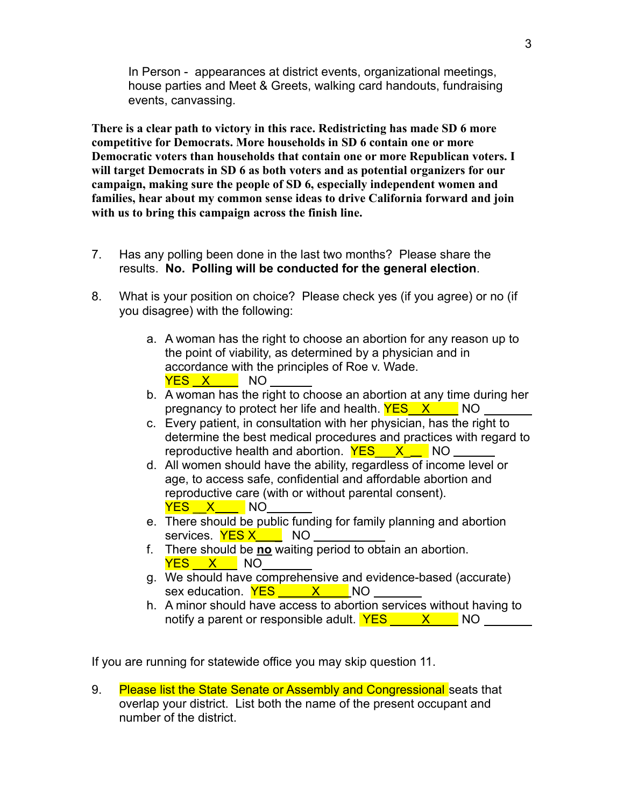In Person - appearances at district events, organizational meetings, house parties and Meet & Greets, walking card handouts, fundraising events, canvassing.

**There is a clear path to victory in this race. Redistricting has made SD 6 more competitive for Democrats. More households in SD 6 contain one or more Democratic voters than households that contain one or more Republican voters. I will target Democrats in SD 6 as both voters and as potential organizers for our campaign, making sure the people of SD 6, especially independent women and families, hear about my common sense ideas to drive California forward and join with us to bring this campaign across the finish line.**

- 7. Has any polling been done in the last two months? Please share the results. **No. Polling will be conducted for the general election**.
- 8. What is your position on choice? Please check yes (if you agree) or no (if you disagree) with the following:
	- a. A woman has the right to choose an abortion for any reason up to the point of viability, as determined by a physician and in accordance with the principles of Roe v. Wade. YES X NO
	- b. A woman has the right to choose an abortion at any time during her pregnancy to protect her life and health.  $YES - X - NO$
	- c. Every patient, in consultation with her physician, has the right to determine the best medical procedures and practices with regard to reproductive health and abortion.  $YES$   $X$   $N$
	- d. All women should have the ability, regardless of income level or age, to access safe, confidential and affordable abortion and reproductive care (with or without parental consent). YES X NO
	- e. There should be public funding for family planning and abortion services. YES X NO
	- f. There should be **no** waiting period to obtain an abortion. YES X NO
	- g. We should have comprehensive and evidence-based (accurate) sex education. **YES** X NO
	- h. A minor should have access to abortion services without having to notify a parent or responsible adult.  $YES_$   $X$   $NO_$

If you are running for statewide office you may skip question 11.

9. Please list the State Senate or Assembly and Congressional seats that overlap your district. List both the name of the present occupant and number of the district.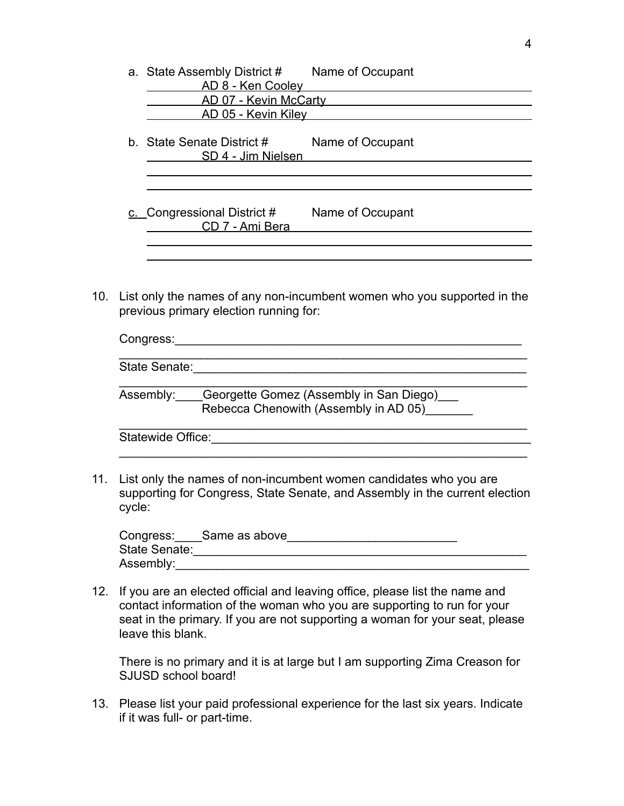| a. State Assembly District # Name of Occupant<br>AD 8 - Ken Cooley |                  |  |  |  |  |
|--------------------------------------------------------------------|------------------|--|--|--|--|
| AD 07 - Kevin McCarty                                              |                  |  |  |  |  |
| AD 05 - Kevin Kiley                                                |                  |  |  |  |  |
| b. State Senate District #<br>SD 4 - Jim Nielsen                   | Name of Occupant |  |  |  |  |
|                                                                    |                  |  |  |  |  |
|                                                                    |                  |  |  |  |  |
| c. Congressional District $#$<br>CD 7 - Ami Bera                   | Name of Occupant |  |  |  |  |
|                                                                    |                  |  |  |  |  |

10. List only the names of any non-incumbent women who you supported in the previous primary election running for:

| Congress:                                                                                  |
|--------------------------------------------------------------------------------------------|
| State Senate:                                                                              |
| Assembly: Georgette Gomez (Assembly in San Diego)<br>Rebecca Chenowith (Assembly in AD 05) |
| <b>Statewide Office:</b>                                                                   |

11. List only the names of non-incumbent women candidates who you are supporting for Congress, State Senate, and Assembly in the current election cycle:

|               | Congress: Same as above |  |
|---------------|-------------------------|--|
| State Senate: |                         |  |
| Assembly:     |                         |  |

12. If you are an elected official and leaving office, please list the name and contact information of the woman who you are supporting to run for your seat in the primary. If you are not supporting a woman for your seat, please leave this blank.

There is no primary and it is at large but I am supporting Zima Creason for SJUSD school board!

13. Please list your paid professional experience for the last six years. Indicate if it was full- or part-time.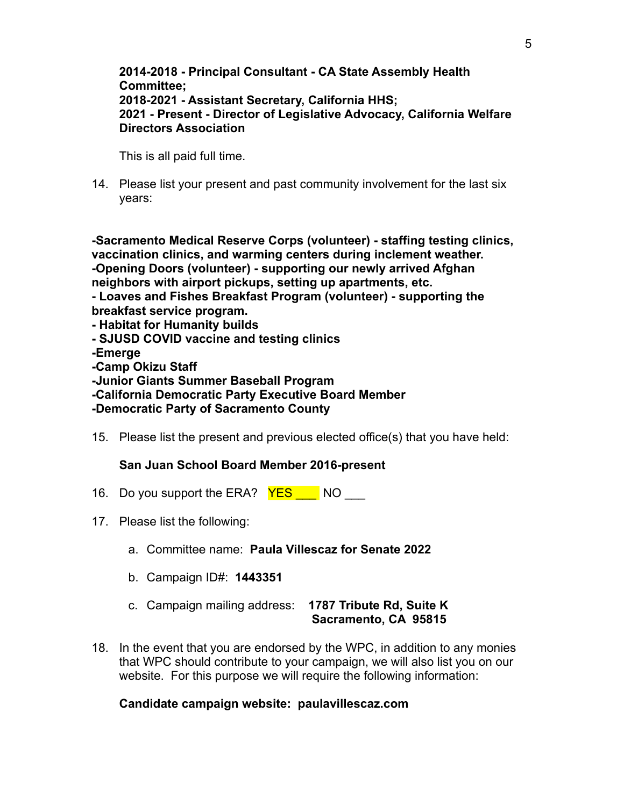#### **2014-2018 - Principal Consultant - CA State Assembly Health Committee; 2018-2021 - Assistant Secretary, California HHS; 2021 - Present - Director of Legislative Advocacy, California Welfare Directors Association**

This is all paid full time.

14. Please list your present and past community involvement for the last six years:

**-Sacramento Medical Reserve Corps (volunteer) - staffing testing clinics, vaccination clinics, and warming centers during inclement weather. -Opening Doors (volunteer) - supporting our newly arrived Afghan neighbors with airport pickups, setting up apartments, etc. - Loaves and Fishes Breakfast Program (volunteer) - supporting the breakfast service program. - Habitat for Humanity builds - SJUSD COVID vaccine and testing clinics**

**-Emerge**

**-Camp Okizu Staff**

**-Junior Giants Summer Baseball Program**

**-California Democratic Party Executive Board Member**

**-Democratic Party of Sacramento County**

15. Please list the present and previous elected office(s) that you have held:

## **San Juan School Board Member 2016-present**

- 16. Do you support the ERA? **YES** NO
- 17. Please list the following:
	- a. Committee name: **Paula Villescaz for Senate 2022**
	- b. Campaign ID#: **1443351**
	- c. Campaign mailing address: **1787 Tribute Rd, Suite K Sacramento, CA 95815**
- 18. In the event that you are endorsed by the WPC, in addition to any monies that WPC should contribute to your campaign, we will also list you on our website. For this purpose we will require the following information:

## **Candidate campaign website: paulavillescaz.com**